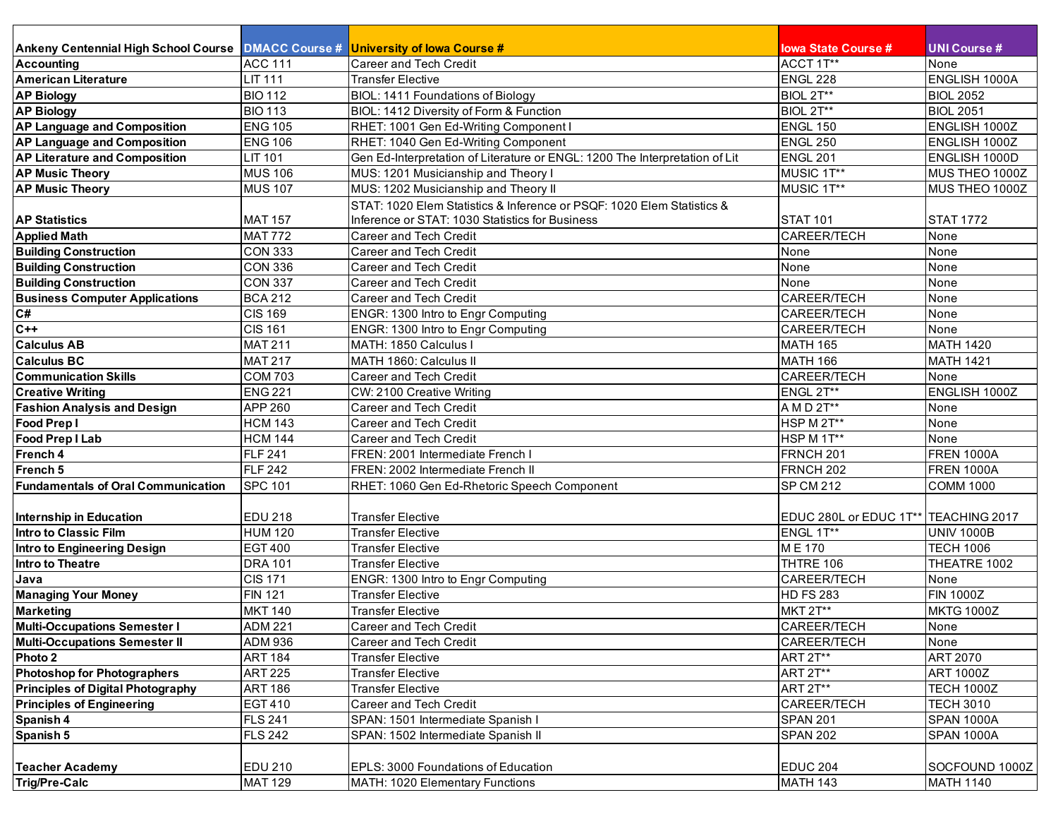| Ankeny Centennial High School Course   DMACC Course #   University of lowa Course # |                |                                                                             | <b>lowa State Course #</b>             | UNI Course #      |
|-------------------------------------------------------------------------------------|----------------|-----------------------------------------------------------------------------|----------------------------------------|-------------------|
| <b>Accounting</b>                                                                   | <b>ACC 111</b> | <b>Career and Tech Credit</b>                                               | ACCT 1T**                              | None              |
| <b>American Literature</b>                                                          | <b>LIT 111</b> | <b>Transfer Elective</b>                                                    | ENGL 228                               | ENGLISH 1000A     |
| <b>AP Biology</b>                                                                   | <b>BIO 112</b> | BIOL: 1411 Foundations of Biology                                           | BIOL 2T**                              | <b>BIOL 2052</b>  |
| <b>AP Biology</b>                                                                   | <b>BIO 113</b> | BIOL: 1412 Diversity of Form & Function                                     | BIOL 2T**                              | <b>BIOL 2051</b>  |
| AP Language and Composition                                                         | <b>ENG 105</b> | RHET: 1001 Gen Ed-Writing Component I                                       | <b>ENGL 150</b>                        | ENGLISH 1000Z     |
| <b>AP Language and Composition</b>                                                  | <b>ENG 106</b> | RHET: 1040 Gen Ed-Writing Component                                         | <b>ENGL 250</b>                        | ENGLISH 1000Z     |
| <b>AP Literature and Composition</b>                                                | <b>LIT 101</b> | Gen Ed-Interpretation of Literature or ENGL: 1200 The Interpretation of Lit | <b>ENGL 201</b>                        | ENGLISH 1000D     |
| <b>AP Music Theory</b>                                                              | <b>MUS 106</b> | MUS: 1201 Musicianship and Theory I                                         | MUSIC 1T**                             | MUS THEO 1000Z    |
| <b>AP Music Theory</b>                                                              | <b>MUS 107</b> | MUS: 1202 Musicianship and Theory II                                        | MUSIC 1T**                             | MUS THEO 1000Z    |
|                                                                                     |                | STAT: 1020 Elem Statistics & Inference or PSQF: 1020 Elem Statistics &      |                                        |                   |
| <b>AP Statistics</b>                                                                | <b>MAT 157</b> | Inference or STAT: 1030 Statistics for Business                             | <b>STAT 101</b>                        | <b>STAT 1772</b>  |
| <b>Applied Math</b>                                                                 | <b>MAT 772</b> | <b>Career and Tech Credit</b>                                               | CAREER/TECH                            | None              |
| <b>Building Construction</b>                                                        | <b>CON 333</b> | Career and Tech Credit                                                      | None                                   | None              |
| <b>Building Construction</b>                                                        | <b>CON 336</b> | <b>Career and Tech Credit</b>                                               | None                                   | None              |
| <b>Building Construction</b>                                                        | <b>CON 337</b> | <b>Career and Tech Credit</b>                                               | None                                   | None              |
| <b>Business Computer Applications</b>                                               | <b>BCA 212</b> | <b>Career and Tech Credit</b>                                               | CAREER/TECH                            | None              |
| $\mathsf{C}\#$                                                                      | <b>CIS 169</b> | ENGR: 1300 Intro to Engr Computing                                          | CAREER/TECH                            | None              |
| $C++$                                                                               | <b>CIS 161</b> | ENGR: 1300 Intro to Engr Computing                                          | <b>CAREER/TECH</b>                     | None              |
| <b>Calculus AB</b>                                                                  | <b>MAT 211</b> | MATH: 1850 Calculus I                                                       | <b>MATH 165</b>                        | <b>MATH 1420</b>  |
| <b>Calculus BC</b>                                                                  | <b>MAT 217</b> | MATH 1860: Calculus II                                                      | <b>MATH 166</b>                        | <b>MATH 1421</b>  |
| <b>Communication Skills</b>                                                         | <b>COM 703</b> | <b>Career and Tech Credit</b>                                               | CAREER/TECH                            | None              |
| <b>Creative Writing</b>                                                             | <b>ENG 221</b> | CW: 2100 Creative Writing                                                   | ENGL 2T**                              | ENGLISH 1000Z     |
| <b>Fashion Analysis and Design</b>                                                  | APP 260        | <b>Career and Tech Credit</b>                                               | A M D 2T**                             | None              |
| Food Prep I                                                                         | <b>HCM 143</b> | <b>Career and Tech Credit</b>                                               | HSP M 2T**                             | None              |
| <b>Food Prep I Lab</b>                                                              | <b>HCM 144</b> | <b>Career and Tech Credit</b>                                               | HSP M 1T**                             | None              |
| French 4                                                                            | <b>FLF 241</b> | FREN: 2001 Intermediate French I                                            | FRNCH <sub>201</sub>                   | <b>FREN 1000A</b> |
| French 5                                                                            | <b>FLF 242</b> | FREN: 2002 Intermediate French II                                           | FRNCH <sub>202</sub>                   | <b>FREN 1000A</b> |
| <b>Fundamentals of Oral Communication</b>                                           | <b>SPC 101</b> | RHET: 1060 Gen Ed-Rhetoric Speech Component                                 | <b>SP CM 212</b>                       | <b>COMM 1000</b>  |
|                                                                                     |                |                                                                             |                                        |                   |
| <b>Internship in Education</b>                                                      | <b>EDU 218</b> | <b>Transfer Elective</b>                                                    | EDUC 280L or EDUC 1T**   TEACHING 2017 |                   |
| <b>Intro to Classic Film</b>                                                        | <b>HUM 120</b> | <b>Transfer Elective</b>                                                    | ENGL 1T**                              | <b>UNIV 1000B</b> |
| <b>Intro to Engineering Design</b>                                                  | <b>EGT 400</b> | <b>Transfer Elective</b>                                                    | ME 170                                 | <b>TECH 1006</b>  |
| <b>Intro to Theatre</b>                                                             | <b>DRA 101</b> | <b>Transfer Elective</b>                                                    | THTRE 106                              | THEATRE 1002      |
| Java                                                                                | <b>CIS 171</b> | ENGR: 1300 Intro to Engr Computing                                          | CAREER/TECH                            | None              |
| <b>Managing Your Money</b>                                                          | <b>FIN 121</b> | <b>Transfer Elective</b>                                                    | <b>HD FS 283</b>                       | <b>FIN 1000Z</b>  |
| <b>Marketing</b>                                                                    | <b>MKT 140</b> | <b>Transfer Elective</b>                                                    | <b>MKT 2T**</b>                        | <b>MKTG 1000Z</b> |
| <b>Multi-Occupations Semester I</b>                                                 | <b>ADM 221</b> | Career and Tech Credit                                                      | CAREER/TECH                            | None              |
| <b>Multi-Occupations Semester II</b>                                                | <b>ADM 936</b> | Career and Tech Credit                                                      | CAREER/TECH                            | None              |
| Photo 2                                                                             | <b>ART 184</b> | <b>Transfer Elective</b>                                                    | ART 2T**                               | ART 2070          |
| <b>Photoshop for Photographers</b>                                                  | <b>ART 225</b> | <b>Transfer Elective</b>                                                    | ART 2T**                               | <b>ART 1000Z</b>  |
| <b>Principles of Digital Photography</b>                                            | <b>ART 186</b> | <b>Transfer Elective</b>                                                    | ART 2T**                               | <b>TECH 1000Z</b> |
| <b>Principles of Engineering</b>                                                    | <b>EGT 410</b> | Career and Tech Credit                                                      | CAREER/TECH                            | <b>TECH 3010</b>  |
| Spanish 4                                                                           | <b>FLS 241</b> | SPAN: 1501 Intermediate Spanish I                                           | <b>SPAN 201</b>                        | <b>SPAN 1000A</b> |
| Spanish 5                                                                           | <b>FLS 242</b> | SPAN: 1502 Intermediate Spanish II                                          | <b>SPAN 202</b>                        | <b>SPAN 1000A</b> |
|                                                                                     |                |                                                                             |                                        |                   |
| <b>Teacher Academy</b>                                                              | <b>EDU 210</b> | EPLS: 3000 Foundations of Education                                         | <b>EDUC 204</b>                        | SOCFOUND 1000Z    |
| <b>Trig/Pre-Calc</b>                                                                | <b>MAT 129</b> | MATH: 1020 Elementary Functions                                             | <b>MATH 143</b>                        | <b>MATH 1140</b>  |